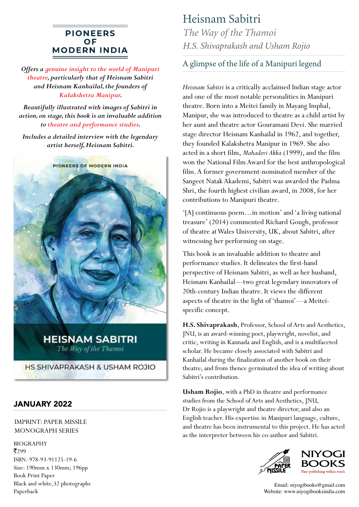## **PIONEERS OF MODERN INDIA**

*Offers a genuine insight to the world of Manipuri theatre, particularly that of Heisnam Sabitri and Heisnam Kanhailal, the founders of Kalakshetra Manipur.*

*Beautifully illustrated with images of Sabitri in action, on stage, this book is an invaluable addition to theatre and performance studies.*

*Includes a detailed interview with the legendary artist herself, Heisnam Sabitri.*



**HEISNAM SABITRI** The Way of the Thamoi

HS SHIVAPRAKASH & USHAM ROJIO

## JANUARY 2022

IMPRINT: PAPER MISSILE MONOGRAPH SERIES

BIOGRAPHY ₹299 ISBN: 978-93-91125-19-6 Size: 190mm x 130mm; 196pp Book Print Paper Black and white,32 photographs Paperback

## Heisnam Sabitri

*The Way of the Thamoi H.S. Shivaprakash and Usham Rojio*

A glimpse of the life of a Manipuri legend

*Heisnam Sabitri* is a critically acclaimed Indian stage actor and one of the most notable personalities in Manipuri theatre. Born into a Meitei family in Mayang Imphal, Manipur, she was introduced to theatre as a child artist by her aunt and theatre actor Gouramani Devi. She married stage director Heisnam Kanhailal in 1962, and together, they founded Kalakshetra Manipur in 1969. She also acted in a short film, *Mahadevi Akka* (1999), and the film won the National Film Award for the best anthropological film. A former government-nominated member of the Sangeet Natak Akademi, Sabitri was awarded the Padma Shri, the fourth highest civilian award, in 2008, for her contributions to Manipuri theatre.

'[A] continuous poem…in motion' and 'a living national treasure' (2014) commented Richard Gough, professor of theatre at Wales University, UK, about Sabitri, after witnessing her performing on stage.

This book is an invaluable addition to theatre and performance studies. It delineates the first-hand perspective of Heisnam Sabitri, as well as her husband, Heisnam Kanhailal—two great legendary innovators of 20th-century Indian theatre. It views the different aspects of theatre in the light of 'thamoi'—a Meiteispecific concept.

**H.S. Shivaprakash**, Professor, School of Arts and Aesthetics, JNU, is an award-winning poet, playwright, novelist, and critic, writing in Kannada and English, and is a multifaceted scholar. He became closely associated with Sabitri and Kanhailal during the finalization of another book on their theatre, and from thence germinated the idea of writing about Sabitri's contribution.

**Usham Rojio**, with a PhD in theatre and performance studies from the School of Arts and Aesthetics, JNU, Dr Rojio is a playwright and theatre director, and also an English teacher. His expertise in Manipuri language, culture, and theatre has been instrumental to this project. He has acted as the interpreter between his co-author and Sabitri.





Email: niyogibooks@gmail.com Website: www.niyogibooksindia.com